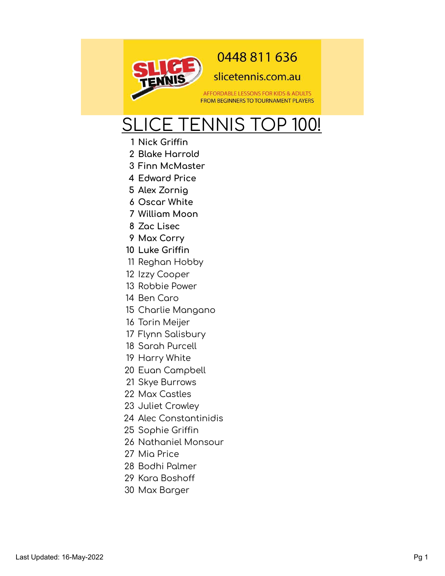

## 0448 811 636

## slicetennis.com.au

AFFORDABLE LESSONS FOR KIDS & ADULTS **FROM BEGINNERS TO TOURNAMENT PLAYERS** 

## SLICE TENNIS TOP 100!

- Nick Griffin
- **Blake Harrold**
- **Finn McMaster**
- **Edward Price**
- Alex Zorniq
- **Oscar White**
- **William Moon**
- **Zac Lisec**
- **Max Corry**
- Luke Griffin
- 11 Reghan Hobby
- Izzy Cooper
- Robbie Power
- Ben Caro
- 15 Charlie Mangano
- Torin Meijer
- Flynn Salisbury
- Sarah Purcell
- Harry White
- Euan Campbell
- Skye Burrows
- Max Castles
- Juliet Crowley
- Alec Constantinidis
- 25 Sophie Griffin
- Nathaniel Monsour
- Mia Price
- Bodhi Palmer
- 29 Kara Boshoff
- 30 Max Barger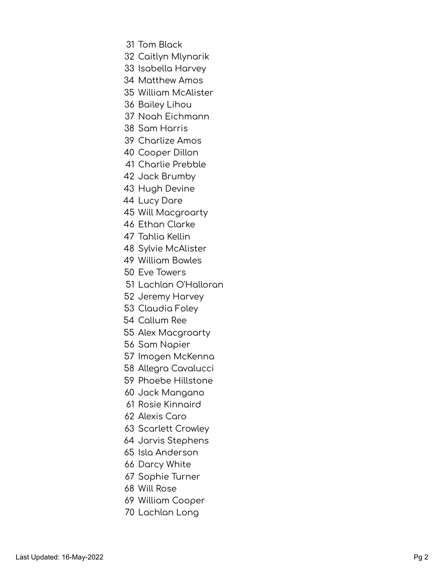- Tom Black
- Caitlyn Mlynarik
- Isabella Harvey
- Matthew Amos
- William McAlister
- Bailey Lihou
- Noah Eichmann
- Sam Harris
- Charlize Amos
- Cooper Dillon
- Charlie Prebble
- Jack Brumby
- 43 Hugh Devine
- Lucy Dare
- 45 Will Macgroarty
- Ethan Clarke
- Tahlia Kellin
- Sylvie McAlister
- William Bowles
- Eve Towers
- Lachlan O'Halloran
- Jeremy Harvey
- Claudia Foley
- Callum Ree
- 55 Alex Macgroarty
- Sam Napier
- 57 Imogen McKenna
- 58 Allegra Cavalucci
- Phoebe Hillstone
- 60 Jack Mangano
- Rosie Kinnaird
- Alexis Caro
- Scarlett Crowley
- Jarvis Stephens
- Isla Anderson
- Darcy White
- Sophie Turner
- Will Rose
- William Cooper
- 70 Lachlan Long